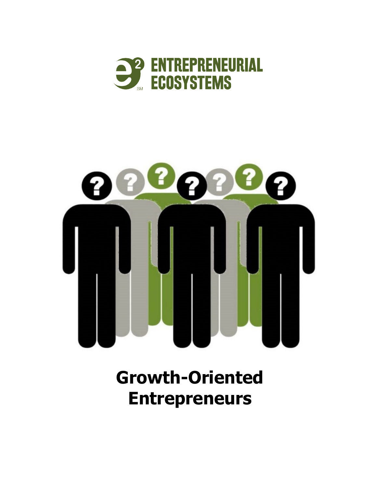



# **Growth-Oriented Entrepreneurs**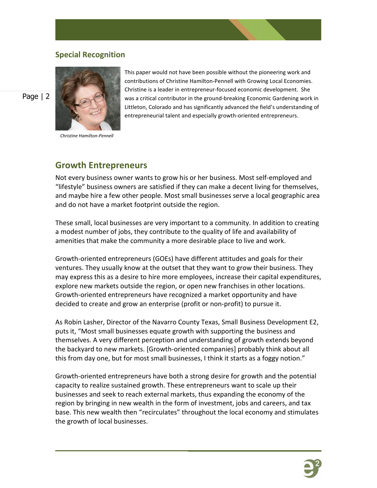#### **Special Recognition**



*Christine Hamilton-Pennell*

This paper would not have been possible without the pioneering work and contributions of Christine Hamilton-Pennell with Growing Local Economies. Christine is a leader in entrepreneur-focused economic development. She was a critical contributor in the ground-breaking Economic Gardening work in Littleton, Colorado and has significantly advanced the field's understanding of entrepreneurial talent and especially growth-oriented entrepreneurs.

#### **Growth Entrepreneurs**

Not every business owner wants to grow his or her business. Most self-employed and "lifestyle" business owners are satisfied if they can make a decent living for themselves, and maybe hire a few other people. Most small businesses serve a local geographic area and do not have a market footprint outside the region.

These small, local businesses are very important to a community. In addition to creating a modest number of jobs, they contribute to the quality of life and availability of amenities that make the community a more desirable place to live and work.

Growth-oriented entrepreneurs (GOEs) have different attitudes and goals for their ventures. They usually know at the outset that they want to grow their business. They may express this as a desire to hire more employees, increase their capital expenditures, explore new markets outside the region, or open new franchises in other locations. Growth-oriented entrepreneurs have recognized a market opportunity and have decided to create and grow an enterprise (profit or non-profit) to pursue it.

As Robin Lasher, Director of the Navarro County Texas, Small Business Development E2, puts it, "Most small businesses equate growth with supporting the business and themselves. A very different perception and understanding of growth extends beyond the backyard to new markets. [Growth-oriented companies] probably think about all this from day one, but for most small businesses, I think it starts as a foggy notion."

Growth-oriented entrepreneurs have both a strong desire for growth and the potential capacity to realize sustained growth. These entrepreneurs want to scale up their businesses and seek to reach external markets, thus expanding the economy of the region by bringing in new wealth in the form of investment, jobs and careers, and tax base. This new wealth then "recirculates" throughout the local economy and stimulates the growth of local businesses.

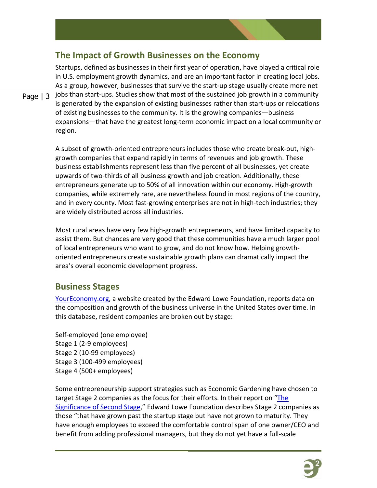

Page | 3 jobs than start-ups. Studies show that most of the sustained job growth in a community Startups, defined as businesses in their first year of operation, have played a critical role in U.S. employment growth dynamics, and are an important factor in creating local jobs. As a group, however, businesses that survive the start-up stage usually create more net is generated by the expansion of existing businesses rather than start-ups or relocations of existing businesses to the community. It is the growing companies—business expansions—that have the greatest long-term economic impact on a local community or region.

> A subset of growth-oriented entrepreneurs includes those who create break-out, highgrowth companies that expand rapidly in terms of revenues and job growth. These business establishments represent less than five percent of all businesses, yet create upwards of two-thirds of all business growth and job creation. Additionally, these entrepreneurs generate up to 50% of all innovation within our economy. High-growth companies, while extremely rare, are nevertheless found in most regions of the country, and in every county. Most fast-growing enterprises are not in high-tech industries; they are widely distributed across all industries.

> Most rural areas have very few high-growth entrepreneurs, and have limited capacity to assist them. But chances are very good that these communities have a much larger pool of local entrepreneurs who want to grow, and do not know how. Helping growthoriented entrepreneurs create sustainable growth plans can dramatically impact the area's overall economic development progress.

## **Business Stages**

[YourEconomy.org,](http://www.youreconomy.org/) a website created by the Edward Lowe Foundation, reports data on the composition and growth of the business universe in the United States over time. In this database, resident companies are broken out by stage:

Self-employed (one employee) Stage 1 (2-9 employees) Stage 2 (10-99 employees) Stage 3 (100-499 employees) Stage 4 (500+ employees)

Some entrepreneurship support strategies such as Economic Gardening have chosen to target Stage 2 companies as the focus for their efforts. In their report on "The [Significance of Second Stage,](http://edwardlowe.org/edlowenetwp/wp-content/uploads/2013/09/Second-Stage.pdf)" Edward Lowe Foundation describes Stage 2 companies as those "that have grown past the startup stage but have not grown to maturity. They have enough employees to exceed the comfortable control span of one owner/CEO and benefit from adding professional managers, but they do not yet have a full-scale

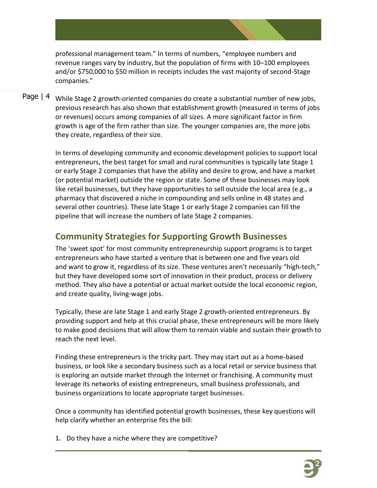professional management team." In terms of numbers, "employee numbers and revenue ranges vary by industry, but the population of firms with 10–100 employees and/or \$750,000 to \$50 million in receipts includes the vast majority of second-Stage companies."

Page | 4 While Stage 2 growth-oriented companies do create a substantial number of new jobs, previous research has also shown that establishment growth (measured in terms of jobs or revenues) occurs among companies of all sizes. A more significant factor in firm growth is age of the firm rather than size. The younger companies are, the more jobs they create, regardless of their size.

> In terms of developing community and economic development policies to support local entrepreneurs, the best target for small and rural communities is typically late Stage 1 or early Stage 2 companies that have the ability and desire to grow, and have a market (or potential market) outside the region or state. Some of these businesses may look like retail businesses, but they have opportunities to sell outside the local area (e.g., a pharmacy that discovered a niche in compounding and sells online in 48 states and several other countries). These late Stage 1 or early Stage 2 companies can fill the pipeline that will increase the numbers of late Stage 2 companies.

## **Community Strategies for Supporting Growth Businesses**

The 'sweet spot' for most community entrepreneurship support programs is to target entrepreneurs who have started a venture that is between one and five years old and want to grow it, regardless of its size. These ventures aren't necessarily "high-tech," but they have developed some sort of innovation in their product, process or delivery method. They also have a potential or actual market outside the local economic region, and create quality, living-wage jobs.

Typically, these are late Stage 1 and early Stage 2 growth-oriented entrepreneurs. By providing support and help at this crucial phase, these entrepreneurs will be more likely to make good decisions that will allow them to remain viable and sustain their growth to reach the next level.

Finding these entrepreneurs is the tricky part. They may start out as a home-based business, or look like a secondary business such as a local retail or service business that is exploring an outside market through the Internet or franchising. A community must leverage its networks of existing entrepreneurs, small business professionals, and business organizations to locate appropriate target businesses.

Once a community has identified potential growth businesses, these key questions will help clarify whether an enterprise fits the bill:

**1.** Do they have a niche where they are competitive?

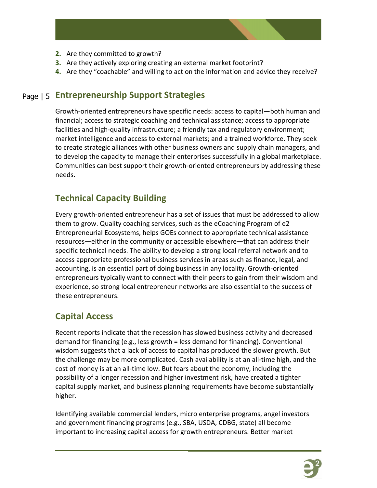

- **2.** Are they committed to growth?
- **3.** Are they actively exploring creating an external market footprint?
- **4.** Are they "coachable" and willing to act on the information and advice they receive?

## Page | 5 **Entrepreneurship Support Strategies**

Growth-oriented entrepreneurs have specific needs: access to capital—both human and financial; access to strategic coaching and technical assistance; access to appropriate facilities and high-quality infrastructure; a friendly tax and regulatory environment; market intelligence and access to external markets; and a trained workforce. They seek to create strategic alliances with other business owners and supply chain managers, and to develop the capacity to manage their enterprises successfully in a global marketplace. Communities can best support their growth-oriented entrepreneurs by addressing these needs.

## **Technical Capacity Building**

Every growth-oriented entrepreneur has a set of issues that must be addressed to allow them to grow. Quality coaching services, such as the eCoaching Program of e2 Entrepreneurial Ecosystems, helps GOEs connect to appropriate technical assistance resources—either in the community or accessible elsewhere—that can address their specific technical needs. The ability to develop a strong local referral network and to access appropriate professional business services in areas such as finance, legal, and accounting, is an essential part of doing business in any locality. Growth-oriented entrepreneurs typically want to connect with their peers to gain from their wisdom and experience, so strong local entrepreneur networks are also essential to the success of these entrepreneurs.

## **Capital Access**

Recent reports indicate that the recession has slowed business activity and decreased demand for financing (e.g., less growth = less demand for financing). Conventional wisdom suggests that a lack of access to capital has produced the slower growth. But the challenge may be more complicated. Cash availability is at an all-time high, and the cost of money is at an all-time low. But fears about the economy, including the possibility of a longer recession and higher investment risk, have created a tighter capital supply market, and business planning requirements have become substantially higher.

Identifying available commercial lenders, micro enterprise programs, angel investors and government financing programs (e.g., SBA, USDA, CDBG, state) all become important to increasing capital access for growth entrepreneurs. Better market

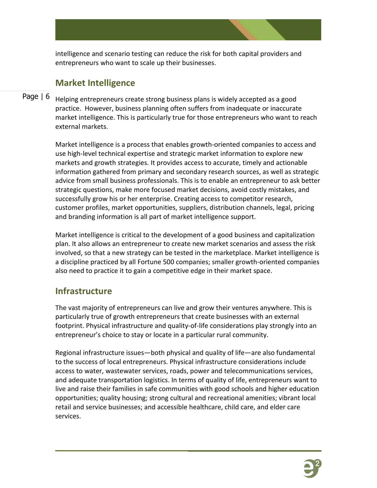intelligence and scenario testing can reduce the risk for both capital providers and entrepreneurs who want to scale up their businesses.

## **Market Intelligence**

#### Page | 6 Helping entrepreneurs create strong business plans is widely accepted as a good practice. However, business planning often suffers from inadequate or inaccurate market intelligence. This is particularly true for those entrepreneurs who want to reach external markets.

Market intelligence is a process that enables growth-oriented companies to access and use high-level technical expertise and strategic market information to explore new markets and growth strategies. It provides access to accurate, timely and actionable information gathered from primary and secondary research sources, as well as strategic advice from small business professionals. This is to enable an entrepreneur to ask better strategic questions, make more focused market decisions, avoid costly mistakes, and successfully grow his or her enterprise. Creating access to competitor research, customer profiles, market opportunities, suppliers, distribution channels, legal, pricing and branding information is all part of market intelligence support.

Market intelligence is critical to the development of a good business and capitalization plan. It also allows an entrepreneur to create new market scenarios and assess the risk involved, so that a new strategy can be tested in the marketplace. Market intelligence is a discipline practiced by all Fortune 500 companies; smaller growth-oriented companies also need to practice it to gain a competitive edge in their market space.

## **Infrastructure**

The vast majority of entrepreneurs can live and grow their ventures anywhere. This is particularly true of growth entrepreneurs that create businesses with an external footprint. Physical infrastructure and quality-of-life considerations play strongly into an entrepreneur's choice to stay or locate in a particular rural community.

Regional infrastructure issues—both physical and quality of life—are also fundamental to the success of local entrepreneurs. Physical infrastructure considerations include access to water, wastewater services, roads, power and telecommunications services, and adequate transportation logistics. In terms of quality of life, entrepreneurs want to live and raise their families in safe communities with good schools and higher education opportunities; quality housing; strong cultural and recreational amenities; vibrant local retail and service businesses; and accessible healthcare, child care, and elder care services.

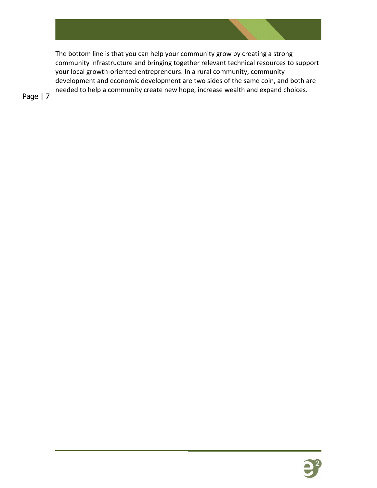

The bottom line is that you can help your community grow by creating a strong community infrastructure and bringing together relevant technical resources to support your local growth-oriented entrepreneurs. In a rural community, community development and economic development are two sides of the same coin, and both are needed to help a community create new hope, increase wealth and expand choices.

Page | 7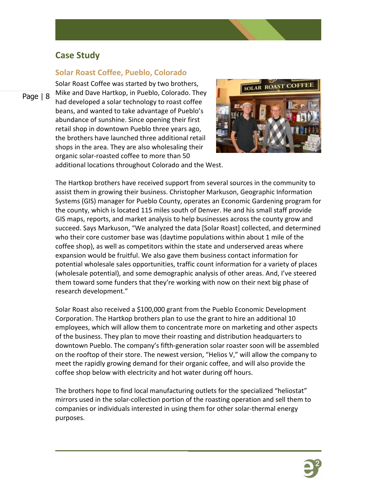## **Case Study**

#### **Solar Roast Coffee, Pueblo, Colorado**

Page | 8

Solar Roast Coffee was started by two brothers, Mike and Dave Hartkop, in Pueblo, Colorado. They had developed a solar technology to roast coffee beans, and wanted to take advantage of Pueblo's abundance of sunshine. Since opening their first retail shop in downtown Pueblo three years ago, the brothers have launched three additional retail shops in the area. They are also wholesaling their organic solar-roasted coffee to more than 50 additional locations throughout Colorado and the West.



The Hartkop brothers have received support from several sources in the community to assist them in growing their business. Christopher Markuson, Geographic Information Systems (GIS) manager for Pueblo County, operates an Economic Gardening program for the county, which is located 115 miles south of Denver. He and his small staff provide GIS maps, reports, and market analysis to help businesses across the county grow and succeed. Says Markuson, "We analyzed the data [Solar Roast] collected, and determined who their core customer base was (daytime populations within about 1 mile of the coffee shop), as well as competitors within the state and underserved areas where expansion would be fruitful. We also gave them business contact information for potential wholesale sales opportunities, traffic count information for a variety of places (wholesale potential), and some demographic analysis of other areas. And, I've steered them toward some funders that they're working with now on their next big phase of research development."

Solar Roast also received a \$100,000 grant from the Pueblo Economic Development Corporation. The Hartkop brothers plan to use the grant to hire an additional 10 employees, which will allow them to concentrate more on marketing and other aspects of the business. They plan to move their roasting and distribution headquarters to downtown Pueblo. The company's fifth-generation solar roaster soon will be assembled on the rooftop of their store. The newest version, "Helios V," will allow the company to meet the rapidly growing demand for their organic coffee, and will also provide the coffee shop below with electricity and hot water during off hours.

The brothers hope to find local manufacturing outlets for the specialized "heliostat" mirrors used in the solar-collection portion of the roasting operation and sell them to companies or individuals interested in using them for other solar-thermal energy purposes.

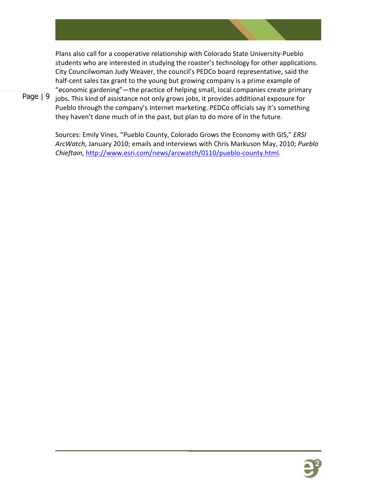Plans also call for a cooperative relationship with Colorado State University-Pueblo students who are interested in studying the roaster's technology for other applications. City Councilwoman Judy Weaver, the council's PEDCo board representative, said the half-cent sales tax grant to the young but growing company is a prime example of "economic gardening"—the practice of helping small, local companies create primary

Page | 9 jobs. This kind of assistance not only grows jobs, it provides additional exposure for Pueblo through the company's Internet marketing. PEDCo officials say it's something they haven't done much of in the past, but plan to do more of in the future.

> Sources: Emily Vines, "Pueblo County, Colorado Grows the Economy with GIS," *ERSI ArcWatch*, January 2010; emails and interviews with Chris Markuson May, 2010; *Pueblo Chieftain*, [http://www.esri.com/news/arcwatch/0110/pueblo-county.html.](http://www.esri.com/news/arcwatch/0110/pueblo-county.html)

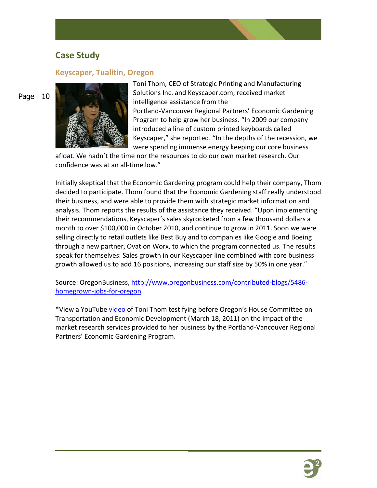#### **Case Study**

#### **Keyscaper, Tualitin, Oregon**

#### Page | 10



Toni Thom, CEO of Strategic Printing and Manufacturing Solutions Inc. and Keyscaper.com, received market intelligence assistance from the Portland-Vancouver Regional Partners' Economic Gardening Program to help grow her business. "In 2009 our company introduced a line of custom printed keyboards called Keyscaper," she reported. "In the depths of the recession, we were spending immense energy keeping our core business

afloat. We hadn't the time nor the resources to do our own market research. Our confidence was at an all-time low."

Initially skeptical that the Economic Gardening program could help their company, Thom decided to participate. Thom found that the Economic Gardening staff really understood their business, and were able to provide them with strategic market information and analysis. Thom reports the results of the assistance they received. "Upon implementing their recommendations, Keyscaper's sales skyrocketed from a few thousand dollars a month to over \$100,000 in October 2010, and continue to grow in 2011. Soon we were selling directly to retail outlets like Best Buy and to companies like Google and Boeing through a new partner, Ovation Worx, to which the program connected us. The results speak for themselves: Sales growth in our Keyscaper line combined with core business growth allowed us to add 16 positions, increasing our staff size by 50% in one year."

Source: OregonBusiness, [http://www.oregonbusiness.com/contributed-blogs/5486](http://www.oregonbusiness.com/contributed-blogs/5486-homegrown-jobs-for-oregon) [homegrown-jobs-for-oregon](http://www.oregonbusiness.com/contributed-blogs/5486-homegrown-jobs-for-oregon)

\*View a YouTube [video](http://www.youtube.com/watch?v=Yy5Y8xdOK40) of Toni Thom testifying before Oregon's House Committee on Transportation and Economic Development (March 18, 2011) on the impact of the market research services provided to her business by the Portland-Vancouver Regional Partners' Economic Gardening Program.

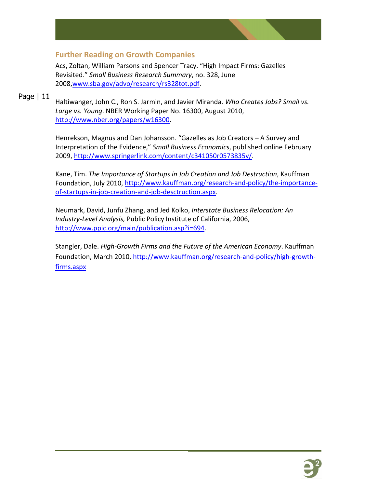

#### **Further Reading on Growth Companies**

Acs, Zoltan, William Parsons and Spencer Tracy. "High Impact Firms: Gazelles Revisited." *Small Business Research Summary*, no. 328, June 2008[,www.sba.gov/advo/research/rs328tot.pdf.](http://www.sba.gov/advo/research/rs328tot.pdf)

#### Page | 11

Haltiwanger, John C., Ron S. Jarmin, and Javier Miranda. *Who Creates Jobs? Small vs. Large vs. Young*. NBER Working Paper No. 16300, August 2010, [http://www.nber.org/papers/w16300.](http://www.nber.org/papers/w16300)

Henrekson, Magnus and Dan Johansson. "Gazelles as Job Creators – A Survey and Interpretation of the Evidence," *Small Business Economics*, published online February 2009, [http://www.springerlink.com/content/c341050r0573835v/.](http://www.springerlink.com/content/c341050r0573835v/)

Kane, Tim. *The Importance of Startups in Job Creation and Job Destruction*, Kauffman Foundation, July 2010, [http://www.kauffman.org/research-and-policy/the-importance](http://www.kauffman.org/research-and-policy/the-importance-of-startups-in-job-creation-and-job-desctruction.aspx)[of-startups-in-job-creation-and-job-desctruction.aspx.](http://www.kauffman.org/research-and-policy/the-importance-of-startups-in-job-creation-and-job-desctruction.aspx)

Neumark, David, Junfu Zhang, and Jed Kolko, *Interstate Business Relocation: An Industry-Level Analysis,* Public Policy Institute of California, 2006, [http://www.ppic.org/main/publication.asp?i=694.](http://www.ppic.org/main/publication.asp?i=694)

Stangler, Dale. *High-Growth Firms and the Future of the American Economy*. Kauffman Foundation, March 2010, [http://www.kauffman.org/research-and-policy/high-growth](http://www.kauffman.org/research-and-policy/high-growth-firms.aspx)[firms.aspx](http://www.kauffman.org/research-and-policy/high-growth-firms.aspx)

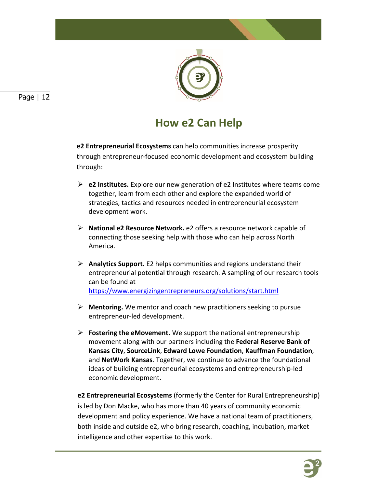

## **How e2 Can Help**

**e2 Entrepreneurial Ecosystems** can help communities increase prosperity through entrepreneur-focused economic development and ecosystem building through:

- **e2 Institutes.** Explore our new generation of e2 Institutes where teams come together, learn from each other and explore the expanded world of strategies, tactics and resources needed in entrepreneurial ecosystem development work.
- **National e2 Resource Network.** e2 offers a resource network capable of connecting those seeking help with those who can help across North America.
- **Analytics Support.** E2 helps communities and regions understand their entrepreneurial potential through research. A sampling of our research tools can be found at <https://www.energizingentrepreneurs.org/solutions/start.html>
- **Mentoring.** We mentor and coach new practitioners seeking to pursue entrepreneur-led development.
- **Fostering the eMovement.** We support the national entrepreneurship movement along with our partners including the **Federal Reserve Bank of Kansas City**, **SourceLink**, **Edward Lowe Foundation**, **Kauffman Foundation**, and **NetWork Kansas**. Together, we continue to advance the foundational ideas of building entrepreneurial ecosystems and entrepreneurship-led economic development.

**e2 Entrepreneurial Ecosystems** (formerly the Center for Rural Entrepreneurship) is led by Don Macke, who has more than 40 years of community economic development and policy experience. We have a national team of practitioners, both inside and outside e2, who bring research, coaching, incubation, market intelligence and other expertise to this work.